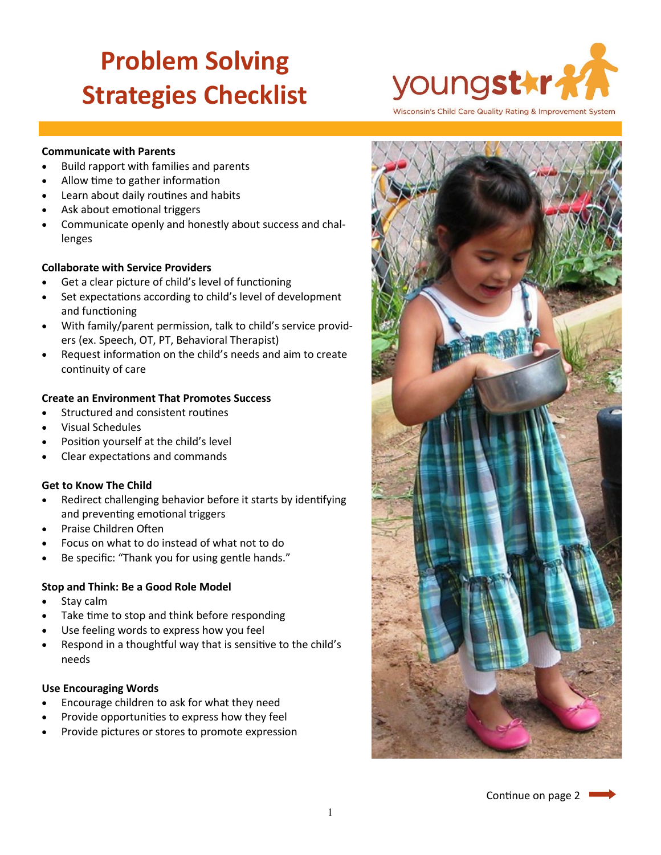# **Problem Solving Strategies Checklist**



Wisconsin's Child Care Quality Rating & Improvement System

#### **Communicate with Parents**

- Build rapport with families and parents
- Allow time to gather information
- Learn about daily routines and habits
- Ask about emotional triggers
- Communicate openly and honestly about success and challenges

#### **Collaborate with Service Providers**

- Get a clear picture of child's level of functioning
- Set expectations according to child's level of development and functioning
- With family/parent permission, talk to child's service providers (ex. Speech, OT, PT, Behavioral Therapist)
- Request information on the child's needs and aim to create continuity of care

# **Create an Environment That Promotes Success**

- Structured and consistent routines
- Visual Schedules
- Position yourself at the child's level
- Clear expectations and commands

# **Get to Know The Child**

- Redirect challenging behavior before it starts by identifying and preventing emotional triggers
- Praise Children Often
- Focus on what to do instead of what not to do
- Be specific: "Thank you for using gentle hands."

# **Stop and Think: Be a Good Role Model**

- Stay calm
- Take time to stop and think before responding
- Use feeling words to express how you feel
- Respond in a thoughtful way that is sensitive to the child's needs

#### **Use Encouraging Words**

- Encourage children to ask for what they need
- Provide opportunities to express how they feel
- Provide pictures or stores to promote expression



Continue on page 2